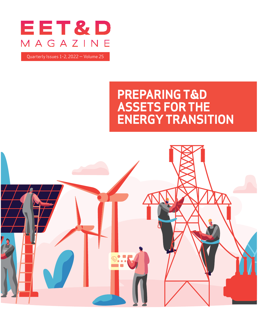

Quarterly Issues 1-2, 2022 — Volume 25

## **PREPARING T&D ASSETS FOR THE ENERGY TRANSITION**

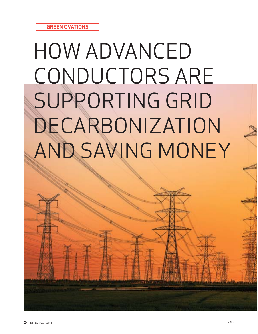## HOW ADVANCED CONDUCTORS ARE SUPPORTING GRID DECARBONIZATION AND SAVING MONEY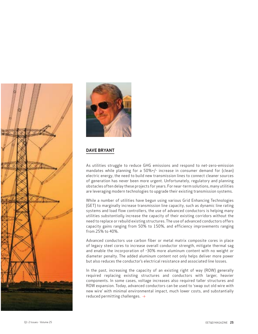



## **DAVE BRYANT**

As utilities struggle to reduce GHG emissions and respond to net-zero-emission mandates while planning for a 50%+/- increase in consumer demand for (clean) electric energy, the need to build new transmission lines to connect cleaner sources of generation has never been more urgent. Unfortunately, regulatory and planning obstacles often delay these projects for years. For near-term solutions, many utilities are leveraging modern technologies to upgrade their existing transmission systems.

While a number of utilities have begun using various Grid Enhancing Technologies (GET) to marginally increase transmission line capacity, such as dynamic line rating systems and load flow controllers, the use of advanced conductors is helping many utilities *substantially* increase the capacity of their existing corridors without the need to replace or rebuild existing structures. The use of advanced conductors offers capacity gains ranging from 50% to 150%, and efficiency improvements ranging from 25% to 40%.

Advanced conductors use carbon fiber or metal matrix composite cores in place of legacy steel cores to increase overall conductor strength, mitigate thermal sag and enable the incorporation of ~30% more aluminum content with no weight *or* diameter penalty. The added aluminum content not only helps deliver more power but also reduces the conductor's electrical resistance and associated line losses.

In the past, increasing the capacity of an existing right of way (ROW) generally required replacing existing structures and conductors with larger, heavier components. In some cases, voltage increases also required taller structures and ROW expansion. Today, advanced conductors can be used to 'swap out old wire with new wire' with minimal environmental impact, much lower costs, and substantially reduced permitting challenges.  $\rightarrow$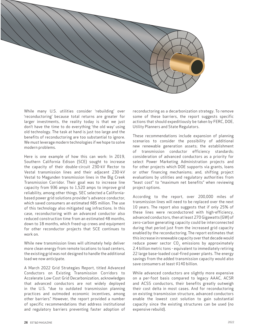

While many U.S. utilities consider 'rebuilding' over 'reconductoring' because total returns are greater for larger investments, the reality today is that we just don't have the time to do everything 'the old way' using old technology. The task at hand is just too large and the benefits of reconductoring are too substantial to ignore. We must leverage modern technologies if we hope to solve modern problems.

Here is one example of how this can work: In 2019, Southern California Edison (SCE) sought to increase the capacity of their double-circuit 230-kV Rector to Vestal transmission lines and their adjacent 230-kV Vestal to Magunden transmission lines in the Big Creek Transmission Corridor. Their goal was to increase line capacity from 936 amps to 1,520 amps to improve grid reliability, among other things. SEC selected a Californiabased power grid solutions provider's advance conductor, which saved consumers an estimated \$85 million. The use of this technology also mitigated sag infractions. In this case, reconductoring with an advanced conductor also reduced construction time from an estimated 48 months, down to 18 months, which freed-up crews and equipment for other reconductor projects that SCE continues to work on.

While new transmission lines will ultimately help deliver more clean energy from remote locations to load centers, the existing grid was not designed to handle the additional load we now anticipate.

A March 2022 Grid Strategies Report, titled Advanced Conductors on Existing Transmission Corridors to Accelerate Low-Cost Grid Decarbonization, acknowledges that advanced conductors are not widely deployed in the U.S. "due to outdated transmission planning practices and outmoded economic incentives, among other barriers." However, the report provided a number of specific recommendations that address institutional and regulatory barriers preventing faster adoption of

reconductoring as a decarbonization strategy. To remove some of these barriers, the report suggests specific actions that should expeditiously be taken by FERC, DOE, Utility Planners and State Regulators.

These recommendations include expansion of planning scenarios to consider the possibility of additional new renewable generation assets; the establishment of transmission conductor efficiency standards; consideration of advanced conductors as a priority for select Power Marketing Administration projects and for other projects which DOE supports via grants, loans or other financing mechanisms; and, shifting project evaluations by utilities and regulatory authorities from "least cost" to "maximum net benefits" when reviewing project options.

According to the report, over 200,000 miles of transmission lines will need to be replaced over the next 10 years. The report also suggests that if only 25% of these lines were reconductored with high-efficiency, advanced conductors, then at least 270 Gigawatts (GW) of zero-carbon generating capacity could be interconnected during that period just from the increased grid capacity enabled by the reconductoring. The report estimates that this increase in renewable capacity over that decade would reduce power sector  $CO<sub>2</sub>$  emissions by approximately 2.4 billion metric tons - equivalent to immediately retiring 22 large base-loaded coal-fired power plants. The energy savings from the added transmission capacity would also save consumers at least \$140 billion.

While advanced conductors are slightly more expensive on a per-foot basis compared to legacy AAAC, ACSR and ACSS conductors, their benefits greatly outweigh their cost delta in most cases. And for reconductoring on existing transmission structure, advanced conductors enable the lowest cost solution to gain substantial capacity since the existing structures can be used (no expensive rebuild).